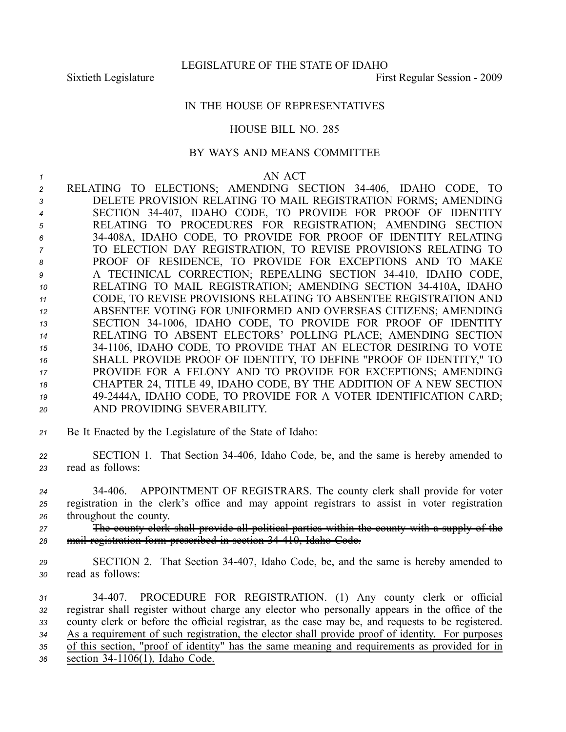## IN THE HOUSE OF REPRESENTATIVES

## HOUSE BILL NO. 285

## BY WAYS AND MEANS COMMITTEE

## *1* AN ACT

 RELATING TO ELECTIONS; AMENDING SECTION 34406, IDAHO CODE, TO DELETE PROVISION RELATING TO MAIL REGISTRATION FORMS; AMENDING SECTION 34407, IDAHO CODE, TO PROVIDE FOR PROOF OF IDENTITY RELATING TO PROCEDURES FOR REGISTRATION; AMENDING SECTION 34408A, IDAHO CODE, TO PROVIDE FOR PROOF OF IDENTITY RELATING TO ELECTION DAY REGISTRATION, TO REVISE PROVISIONS RELATING TO PROOF OF RESIDENCE, TO PROVIDE FOR EXCEPTIONS AND TO MAKE A TECHNICAL CORRECTION; REPEALING SECTION 34410, IDAHO CODE, RELATING TO MAIL REGISTRATION; AMENDING SECTION 34410A, IDAHO CODE, TO REVISE PROVISIONS RELATING TO ABSENTEE REGISTRATION AND ABSENTEE VOTING FOR UNIFORMED AND OVERSEAS CITIZENS; AMENDING SECTION 341006, IDAHO CODE, TO PROVIDE FOR PROOF OF IDENTITY RELATING TO ABSENT ELECTORS' POLLING PLACE; AMENDING SECTION 341106, IDAHO CODE, TO PROVIDE THAT AN ELECTOR DESIRING TO VOTE SHALL PROVIDE PROOF OF IDENTITY, TO DEFINE "PROOF OF IDENTITY," TO PROVIDE FOR A FELONY AND TO PROVIDE FOR EXCEPTIONS; AMENDING CHAPTER 24, TITLE 49, IDAHO CODE, BY THE ADDITION OF A NEW SECTION 492444A, IDAHO CODE, TO PROVIDE FOR A VOTER IDENTIFICATION CARD; AND PROVIDING SEVERABILITY.

*<sup>21</sup>* Be It Enacted by the Legislature of the State of Idaho:

*<sup>22</sup>* SECTION 1. That Section 34406, Idaho Code, be, and the same is hereby amended to *<sup>23</sup>* read as follows:

*<sup>24</sup>* 34406. APPOINTMENT OF REGISTRARS. The county clerk shall provide for voter *<sup>25</sup>* registration in the clerk's office and may appoint registrars to assist in voter registration *<sup>26</sup>* throughout the county.

*<sup>27</sup>* The county clerk shall provide all political parties within the county with <sup>a</sup> supply of the *<sup>28</sup>* mail registration form prescribed in section 34410, Idaho Code.

*<sup>29</sup>* SECTION 2. That Section 34407, Idaho Code, be, and the same is hereby amended to *<sup>30</sup>* read as follows:

 34407. PROCEDURE FOR REGISTRATION. (1) Any county clerk or official registrar shall register without charge any elector who personally appears in the office of the county clerk or before the official registrar, as the case may be, and requests to be registered. As <sup>a</sup> requirement of such registration, the elector shall provide proof of identity. For purposes of this section, "proof of identity" has the same meaning and requirements as provided for in section 341106(1), Idaho Code.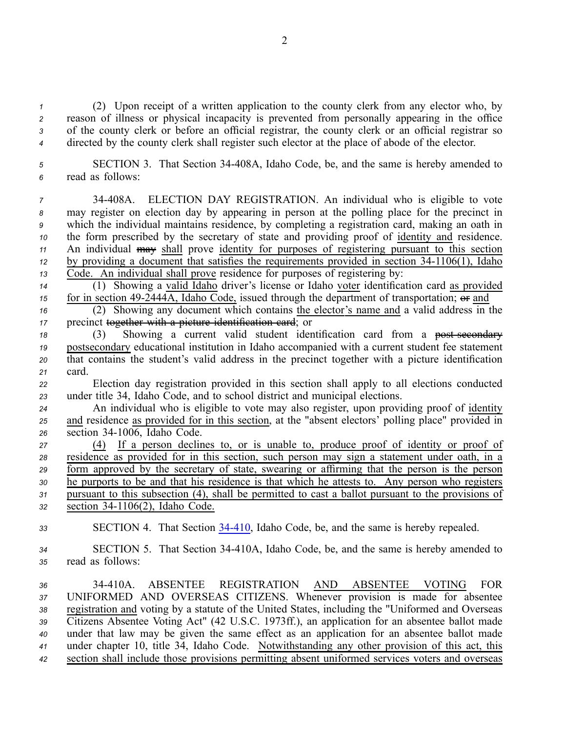(2) Upon receipt of <sup>a</sup> written application to the county clerk from any elector who, by reason of illness or physical incapacity is prevented from personally appearing in the office of the county clerk or before an official registrar, the county clerk or an official registrar so directed by the county clerk shall register such elector at the place of abode of the elector.

*<sup>5</sup>* SECTION 3. That Section 34408A, Idaho Code, be, and the same is hereby amended to *<sup>6</sup>* read as follows:

 34408A. ELECTION DAY REGISTRATION. An individual who is eligible to vote may register on election day by appearing in person at the polling place for the precinct in which the individual maintains residence, by completing <sup>a</sup> registration card, making an oath in the form prescribed by the secretary of state and providing proof of identity and residence. An individual may shall prove identity for purposes of registering pursuan<sup>t</sup> to this section by providing a document that satisfies the requirements provided in section  $34-1106(1)$ , Idaho Code. An individual shall prove residence for purposes of registering by:

*<sup>14</sup>* (1) Showing <sup>a</sup> valid Idaho driver's license or Idaho voter identification card as provided *15* for in section 49-2444A, Idaho Code, issued through the department of transportation;  $\Theta$  and

*<sup>16</sup>* (2) Showing any document which contains the elector's name and <sup>a</sup> valid address in the *<sup>17</sup>* precinct together with <sup>a</sup> picture identification card; or

18 (3) Showing a current valid student identification card from a <del>post secondary</del> *<sup>19</sup>* postsecondary educational institution in Idaho accompanied with <sup>a</sup> current student fee statement *<sup>20</sup>* that contains the student's valid address in the precinct together with <sup>a</sup> picture identification *<sup>21</sup>* card.

*<sup>22</sup>* Election day registration provided in this section shall apply to all elections conducted *<sup>23</sup>* under title 34, Idaho Code, and to school district and municipal elections.

*<sup>24</sup>* An individual who is eligible to vote may also register, upon providing proof of identity *<sup>25</sup>* and residence as provided for in this section, at the "absent electors' polling place" provided in 26 section 34-1006, Idaho Code.

 (4) If <sup>a</sup> person declines to, or is unable to, produce proof of identity or proof of residence as provided for in this section, such person may sign <sup>a</sup> statement under oath, in <sup>a</sup> form approved by the secretary of state, swearing or affirming that the person is the person he purports to be and that his residence is that which he attests to. Any person who registers pursuan<sup>t</sup> to this subsection (4), shall be permitted to cast <sup>a</sup> ballot pursuan<sup>t</sup> to the provisions of section 341106(2), Idaho Code.

*<sup>33</sup>* SECTION 4. That Section [34410](http://www.legislature.idaho.gov/idstat/Title34/T34CH4SECT34-410.htm), Idaho Code, be, and the same is hereby repealed.

*<sup>34</sup>* SECTION 5. That Section 34410A, Idaho Code, be, and the same is hereby amended to *<sup>35</sup>* read as follows:

 34410A. ABSENTEE REGISTRATION AND ABSENTEE VOTING FOR UNIFORMED AND OVERSEAS CITIZENS. Whenever provision is made for absentee registration and voting by <sup>a</sup> statute of the United States, including the "Uniformed and Overseas Citizens Absentee Voting Act" (42 U.S.C. 1973ff.), an application for an absentee ballot made under that law may be given the same effect as an application for an absentee ballot made under chapter 10, title 34, Idaho Code. Notwithstanding any other provision of this act, this section shall include those provisions permitting absent uniformed services voters and overseas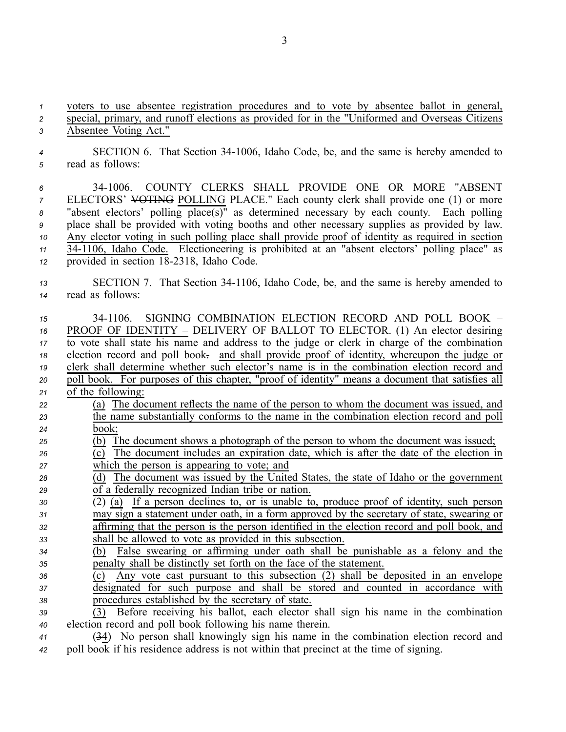*<sup>1</sup>* voters to use absentee registration procedures and to vote by absentee ballot in general, *<sup>2</sup>* special, primary, and runoff elections as provided for in the "Uniformed and Overseas Citizens *<sup>3</sup>* Absentee Voting Act."

*<sup>4</sup>* SECTION 6. That Section 341006, Idaho Code, be, and the same is hereby amended to *<sup>5</sup>* read as follows:

 341006. COUNTY CLERKS SHALL PROVIDE ONE OR MORE "ABSENT ELECTORS' VOTING POLLING PLACE." Each county clerk shall provide one (1) or more "absent electors' polling place(s)" as determined necessary by each county. Each polling place shall be provided with voting booths and other necessary supplies as provided by law. Any elector voting in such polling place shall provide proof of identity as required in section 341106, Idaho Code. Electioneering is prohibited at an "absent electors' polling place" as provided in section 182318, Idaho Code.

*<sup>13</sup>* SECTION 7. That Section 341106, Idaho Code, be, and the same is hereby amended to *<sup>14</sup>* read as follows:

 341106. SIGNING COMBINATION ELECTION RECORD AND POLL BOOK – PROOF OF IDENTITY – DELIVERY OF BALLOT TO ELECTOR. (1) An elector desiring to vote shall state his name and address to the judge or clerk in charge of the combination election record and poll book. and shall provide proof of identity, whereupon the judge or clerk shall determine whether such elector's name is in the combination election record and poll book. For purposes of this chapter, "proof of identity" means <sup>a</sup> document that satisfies all of the following: (a) The document reflects the name of the person to whom the document was issued, and the name substantially conforms to the name in the combination election record and poll *<sup>24</sup>* book; (b) The document shows <sup>a</sup> photograph of the person to whom the document was issued; (c) The document includes an expiration date, which is after the date of the election in which the person is appearing to vote; and (d) The document was issued by the United States, the state of Idaho or the governmen<sup>t</sup> of <sup>a</sup> federally recognized Indian tribe or nation. (2) (a) If <sup>a</sup> person declines to, or is unable to, produce proof of identity, such person may sign <sup>a</sup> statement under oath, in <sup>a</sup> form approved by the secretary of state, swearing or affirming that the person is the person identified in the election record and poll book, and shall be allowed to vote as provided in this subsection. (b) False swearing or affirming under oath shall be punishable as <sup>a</sup> felony and the penalty shall be distinctly set forth on the face of the statement. (c) Any vote cast pursuan<sup>t</sup> to this subsection (2) shall be deposited in an envelope designated for such purpose and shall be stored and counted in accordance with procedures established by the secretary of state. (3) Before receiving his ballot, each elector shall sign his name in the combination election record and poll book following his name therein. (34) No person shall knowingly sign his name in the combination election record and

*<sup>42</sup>* poll book if his residence address is not within that precinct at the time of signing.